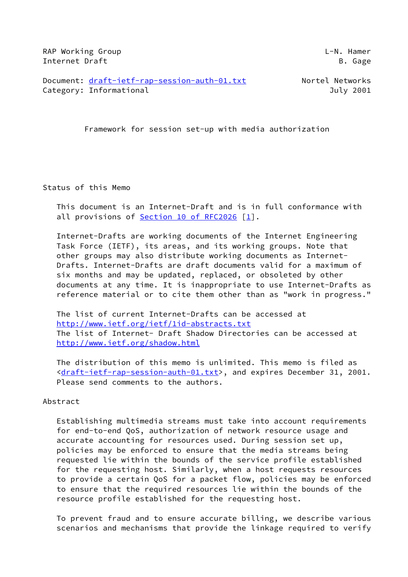RAP Working Group **Let a** control to the control of the control of the control of the control of the control of the control of the control of the control of the control of the control of the control of the control of the c Internet Draft B. Gage

Document: [draft-ietf-rap-session-auth-01.txt](https://datatracker.ietf.org/doc/pdf/draft-ietf-rap-session-auth-01.txt) Nortel Networks Category: Informational and Category: Informational and Category: July 2001

Framework for session set-up with media authorization

Status of this Memo

 This document is an Internet-Draft and is in full conformance with all provisions of Section [10 of RFC2026](https://datatracker.ietf.org/doc/pdf/rfc2026#section-10) [\[1](#page-25-0)].

 Internet-Drafts are working documents of the Internet Engineering Task Force (IETF), its areas, and its working groups. Note that other groups may also distribute working documents as Internet- Drafts. Internet-Drafts are draft documents valid for a maximum of six months and may be updated, replaced, or obsoleted by other documents at any time. It is inappropriate to use Internet-Drafts as reference material or to cite them other than as "work in progress."

 The list of current Internet-Drafts can be accessed at <http://www.ietf.org/ietf/1id-abstracts.txt> The list of Internet- Draft Shadow Directories can be accessed at <http://www.ietf.org/shadow.html>

 The distribution of this memo is unlimited. This memo is filed as [<draft-ietf-rap-session-auth-01.txt>](https://datatracker.ietf.org/doc/pdf/draft-ietf-rap-session-auth-01.txt), and expires December 31, 2001. Please send comments to the authors.

#### Abstract

 Establishing multimedia streams must take into account requirements for end-to-end QoS, authorization of network resource usage and accurate accounting for resources used. During session set up, policies may be enforced to ensure that the media streams being requested lie within the bounds of the service profile established for the requesting host. Similarly, when a host requests resources to provide a certain QoS for a packet flow, policies may be enforced to ensure that the required resources lie within the bounds of the resource profile established for the requesting host.

 To prevent fraud and to ensure accurate billing, we describe various scenarios and mechanisms that provide the linkage required to verify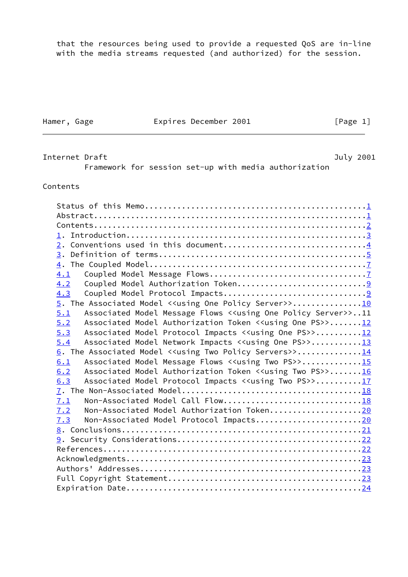that the resources being used to provide a requested QoS are in-line with the media streams requested (and authorized) for the session.

Hamer, Gage **Expires December 2001** [Page 1]

<span id="page-1-0"></span>Internet Draft **Internet Draft** Australian Australian Australian Australian Australian Australian Australian Australian Australian Australian Australian Australian Australian Australian Australian Australian Australian Aus Framework for session set-up with media authorization

#### Contents

| 2. Conventions used in this document4                                                     |  |
|-------------------------------------------------------------------------------------------|--|
|                                                                                           |  |
|                                                                                           |  |
| 4.1                                                                                       |  |
| 4.2                                                                                       |  |
| 4.3                                                                                       |  |
| 5. The Associated Model < <using one="" policy="" server="">&gt;10</using>                |  |
| Associated Model Message Flows < <using one="" policy="" server="">&gt;11<br/>5.1</using> |  |
| Associated Model Authorization Token < <using one="" ps="">&gt;12<br/>5.2</using>         |  |
| 5.3<br>Associated Model Protocol Impacts < <using one="" ps="">&gt;12</using>             |  |
| Associated Model Network Impacts < <using one="" ps="">&gt;13<br/>5.4</using>             |  |
| 6. The Associated Model < <using policy="" servers="" two="">&gt;14</using>               |  |
| Associated Model Message Flows < <using ps="" two="">&gt;15<br/>6.1</using>               |  |
| Associated Model Authorization Token < <using ps="" two="">&gt;16<br/>6.2</using>         |  |
| Associated Model Protocol Impacts < <using ps="" two="">&gt;17<br/>6.3</using>            |  |
|                                                                                           |  |
| Non-Associated Model Call Flow18<br>7.1                                                   |  |
| Non-Associated Model Authorization Token20<br>7.2                                         |  |
| Non-Associated Model Protocol Impacts20<br>7.3                                            |  |
|                                                                                           |  |
|                                                                                           |  |
|                                                                                           |  |
|                                                                                           |  |
|                                                                                           |  |
|                                                                                           |  |
|                                                                                           |  |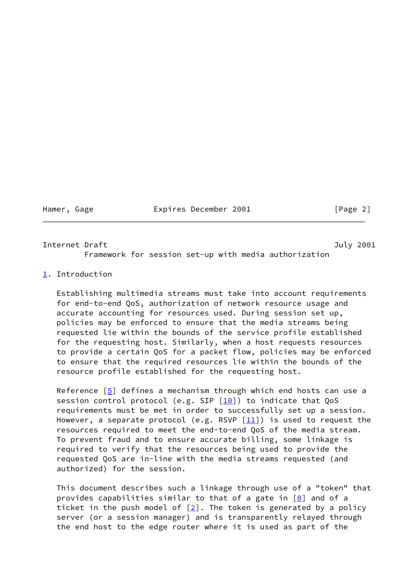Hamer, Gage **Expires December 2001** [Page 2]

<span id="page-2-1"></span>Internet Draft **Internet Draft** And The Contract of the United States of the United States of the United States of the United States of the United States of the United States of the United States of the United States of th Framework for session set-up with media authorization

<span id="page-2-0"></span>[1](#page-2-0). Introduction

 Establishing multimedia streams must take into account requirements for end-to-end QoS, authorization of network resource usage and accurate accounting for resources used. During session set up, policies may be enforced to ensure that the media streams being requested lie within the bounds of the service profile established for the requesting host. Similarly, when a host requests resources to provide a certain QoS for a packet flow, policies may be enforced to ensure that the required resources lie within the bounds of the resource profile established for the requesting host.

Reference [[5\]](#page-25-3) defines a mechanism through which end hosts can use a session control protocol (e.g. SIP  $[10]$  $[10]$ ) to indicate that QoS requirements must be met in order to successfully set up a session. However, a separate protocol (e.g. RSVP  $[11]$ ) is used to request the resources required to meet the end-to-end QoS of the media stream. To prevent fraud and to ensure accurate billing, some linkage is required to verify that the resources being used to provide the requested QoS are in-line with the media streams requested (and authorized) for the session.

 This document describes such a linkage through use of a "token" that provides capabilities similar to that of a gate in  $[8]$  $[8]$  and of a ticket in the push model of  $[2]$  $[2]$ . The token is generated by a policy server (or a session manager) and is transparently relayed through the end host to the edge router where it is used as part of the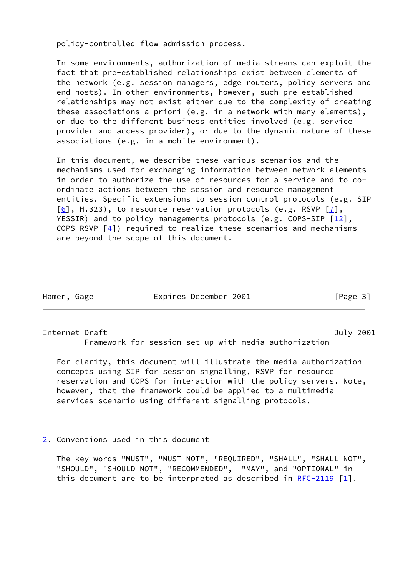policy-controlled flow admission process.

 In some environments, authorization of media streams can exploit the fact that pre-established relationships exist between elements of the network (e.g. session managers, edge routers, policy servers and end hosts). In other environments, however, such pre-established relationships may not exist either due to the complexity of creating these associations a priori (e.g. in a network with many elements), or due to the different business entities involved (e.g. service provider and access provider), or due to the dynamic nature of these associations (e.g. in a mobile environment).

 In this document, we describe these various scenarios and the mechanisms used for exchanging information between network elements in order to authorize the use of resources for a service and to co ordinate actions between the session and resource management entities. Specific extensions to session control protocols (e.g. SIP  $[6]$  $[6]$ , H.323), to resource reservation protocols (e.g. RSVP  $[7]$  $[7]$ , YESSIR) and to policy managements protocols (e.g. COPS-SIP [[12\]](#page-26-3), COPS-RSVP [[4\]](#page-25-7)) required to realize these scenarios and mechanisms are beyond the scope of this document.

| Hamer | Gage |
|-------|------|
|       |      |

Expires December 2001 [Page 3]

<span id="page-3-1"></span>Internet Draft July 2001

Framework for session set-up with media authorization

 For clarity, this document will illustrate the media authorization concepts using SIP for session signalling, RSVP for resource reservation and COPS for interaction with the policy servers. Note, however, that the framework could be applied to a multimedia services scenario using different signalling protocols.

<span id="page-3-0"></span>[2](#page-3-0). Conventions used in this document

 The key words "MUST", "MUST NOT", "REQUIRED", "SHALL", "SHALL NOT", "SHOULD", "SHOULD NOT", "RECOMMENDED", "MAY", and "OPTIONAL" in this document are to be interpreted as described in [RFC-2119](https://datatracker.ietf.org/doc/pdf/rfc2119) [\[1\]](#page-25-0).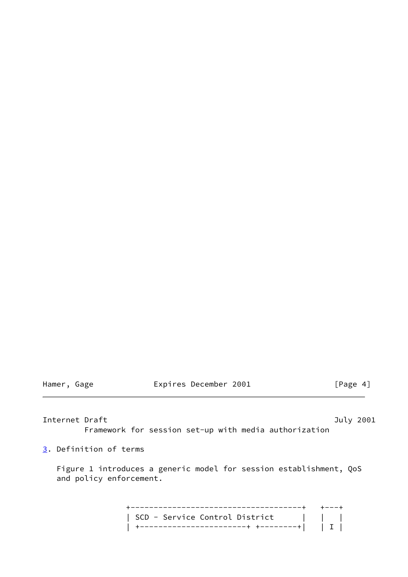Hamer, Gage **Expires December 2001** [Page 4]

<span id="page-4-1"></span>Internet Draft **Internet Draft** And Internet Draft And Internet And Internet And Internet And Internet And Internet Framework for session set-up with media authorization

<span id="page-4-0"></span>[3](#page-4-0). Definition of terms

 Figure 1 introduces a generic model for session establishment, QoS and policy enforcement.

 +-------------------------------------+ +---+ | SCD - Service Control District | | | | +-----------------------+ +--------+| | I |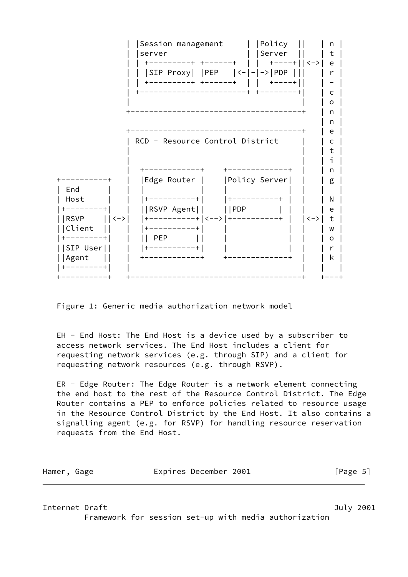

Figure 1: Generic media authorization network model

 EH - End Host: The End Host is a device used by a subscriber to access network services. The End Host includes a client for requesting network services (e.g. through SIP) and a client for requesting network resources (e.g. through RSVP).

 ER - Edge Router: The Edge Router is a network element connecting the end host to the rest of the Resource Control District. The Edge Router contains a PEP to enforce policies related to resource usage in the Resource Control District by the End Host. It also contains a signalling agent (e.g. for RSVP) for handling resource reservation requests from the End Host.

| Hamer, Gage |  | Expires December 2001 |  | [Page 5] |
|-------------|--|-----------------------|--|----------|
|-------------|--|-----------------------|--|----------|

Internet Draft **Internet Draft** And The Contract of the United States of the United States of the United States of the United States of the United States of the United States of the United States of the United States of th Framework for session set-up with media authorization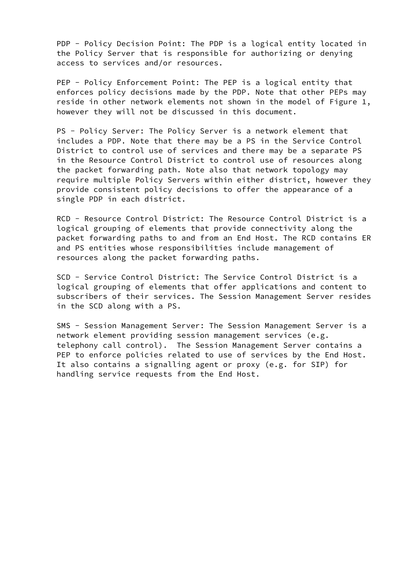PDP - Policy Decision Point: The PDP is a logical entity located in the Policy Server that is responsible for authorizing or denying access to services and/or resources.

PEP - Policy Enforcement Point: The PEP is a logical entity that enforces policy decisions made by the PDP. Note that other PEPs may reside in other network elements not shown in the model of Figure 1, however they will not be discussed in this document.

 PS - Policy Server: The Policy Server is a network element that includes a PDP. Note that there may be a PS in the Service Control District to control use of services and there may be a separate PS in the Resource Control District to control use of resources along the packet forwarding path. Note also that network topology may require multiple Policy Servers within either district, however they provide consistent policy decisions to offer the appearance of a single PDP in each district.

 RCD - Resource Control District: The Resource Control District is a logical grouping of elements that provide connectivity along the packet forwarding paths to and from an End Host. The RCD contains ER and PS entities whose responsibilities include management of resources along the packet forwarding paths.

 SCD - Service Control District: The Service Control District is a logical grouping of elements that offer applications and content to subscribers of their services. The Session Management Server resides in the SCD along with a PS.

 SMS - Session Management Server: The Session Management Server is a network element providing session management services (e.g. telephony call control). The Session Management Server contains a PEP to enforce policies related to use of services by the End Host. It also contains a signalling agent or proxy (e.g. for SIP) for handling service requests from the End Host.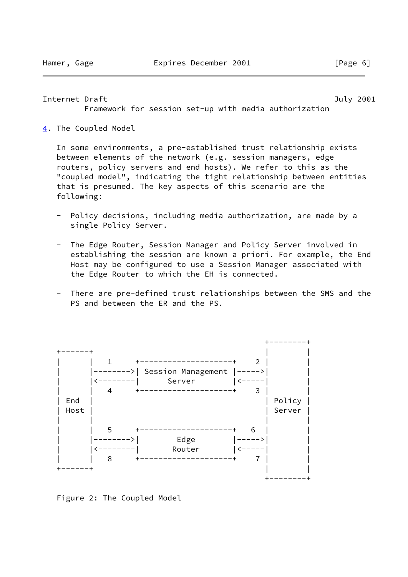### <span id="page-7-1"></span>Internet Draft **Internet Draft** And Internet Draft And Internet And Internet And Internet And Internet And Internet

Framework for session set-up with media authorization

<span id="page-7-0"></span>[4](#page-7-0). The Coupled Model

 In some environments, a pre-established trust relationship exists between elements of the network (e.g. session managers, edge routers, policy servers and end hosts). We refer to this as the "coupled model", indicating the tight relationship between entities that is presumed. The key aspects of this scenario are the following:

- Policy decisions, including media authorization, are made by a single Policy Server.
- The Edge Router, Session Manager and Policy Server involved in establishing the session are known a priori. For example, the End Host may be configured to use a Session Manager associated with the Edge Router to which the EH is connected.
- There are pre-defined trust relationships between the SMS and the PS and between the ER and the PS.



Figure 2: The Coupled Model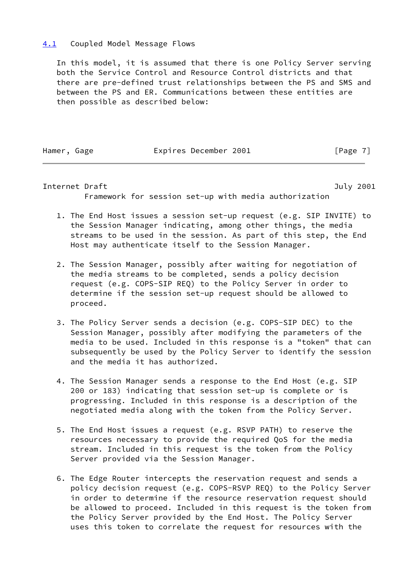# <span id="page-8-0"></span>[4.1](#page-8-0) Coupled Model Message Flows

 In this model, it is assumed that there is one Policy Server serving both the Service Control and Resource Control districts and that there are pre-defined trust relationships between the PS and SMS and between the PS and ER. Communications between these entities are then possible as described below:

Hamer, Gage **Expires December 2001** [Page 7]

Internet Draft **Internet Draft** And The Contract of the United States of the United States of the United States of the United States of the United States of the United States of the United States of the United States of th Framework for session set-up with media authorization

- 1. The End Host issues a session set-up request (e.g. SIP INVITE) to the Session Manager indicating, among other things, the media streams to be used in the session. As part of this step, the End Host may authenticate itself to the Session Manager.
- 2. The Session Manager, possibly after waiting for negotiation of the media streams to be completed, sends a policy decision request (e.g. COPS-SIP REQ) to the Policy Server in order to determine if the session set-up request should be allowed to proceed.
- 3. The Policy Server sends a decision (e.g. COPS-SIP DEC) to the Session Manager, possibly after modifying the parameters of the media to be used. Included in this response is a "token" that can subsequently be used by the Policy Server to identify the session and the media it has authorized.
- 4. The Session Manager sends a response to the End Host (e.g. SIP 200 or 183) indicating that session set-up is complete or is progressing. Included in this response is a description of the negotiated media along with the token from the Policy Server.
- 5. The End Host issues a request (e.g. RSVP PATH) to reserve the resources necessary to provide the required QoS for the media stream. Included in this request is the token from the Policy Server provided via the Session Manager.
- 6. The Edge Router intercepts the reservation request and sends a policy decision request (e.g. COPS-RSVP REQ) to the Policy Server in order to determine if the resource reservation request should be allowed to proceed. Included in this request is the token from the Policy Server provided by the End Host. The Policy Server uses this token to correlate the request for resources with the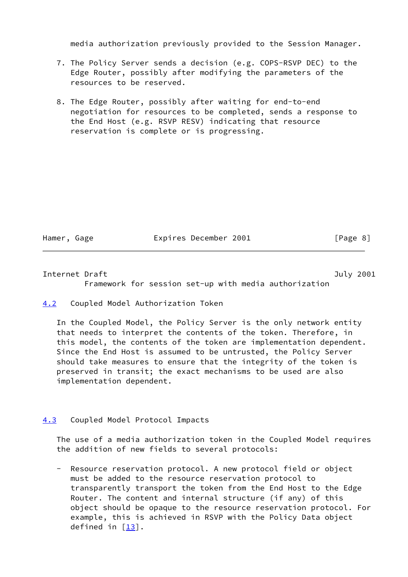media authorization previously provided to the Session Manager.

- 7. The Policy Server sends a decision (e.g. COPS-RSVP DEC) to the Edge Router, possibly after modifying the parameters of the resources to be reserved.
- 8. The Edge Router, possibly after waiting for end-to-end negotiation for resources to be completed, sends a response to the End Host (e.g. RSVP RESV) indicating that resource reservation is complete or is progressing.

Hamer, Gage **Expires December 2001** [Page 8]

<span id="page-9-1"></span>Internet Draft **Internet Draft** Australian Communication and Tuly 2001

Framework for session set-up with media authorization

<span id="page-9-0"></span>[4.2](#page-9-0) Coupled Model Authorization Token

 In the Coupled Model, the Policy Server is the only network entity that needs to interpret the contents of the token. Therefore, in this model, the contents of the token are implementation dependent. Since the End Host is assumed to be untrusted, the Policy Server should take measures to ensure that the integrity of the token is preserved in transit; the exact mechanisms to be used are also implementation dependent.

# <span id="page-9-2"></span>[4.3](#page-9-2) Coupled Model Protocol Impacts

 The use of a media authorization token in the Coupled Model requires the addition of new fields to several protocols:

 - Resource reservation protocol. A new protocol field or object must be added to the resource reservation protocol to transparently transport the token from the End Host to the Edge Router. The content and internal structure (if any) of this object should be opaque to the resource reservation protocol. For example, this is achieved in RSVP with the Policy Data object defined in  $[13]$  $[13]$ .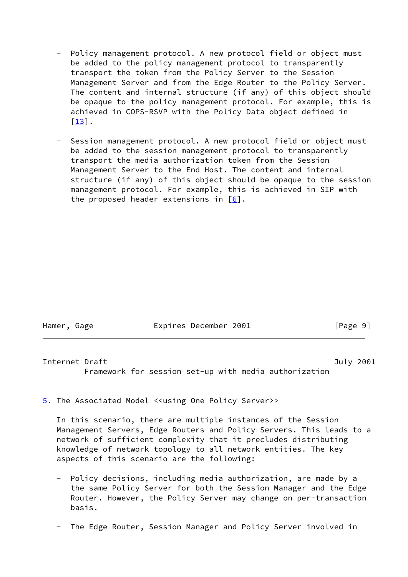- Policy management protocol. A new protocol field or object must be added to the policy management protocol to transparently transport the token from the Policy Server to the Session Management Server and from the Edge Router to the Policy Server. The content and internal structure (if any) of this object should be opaque to the policy management protocol. For example, this is achieved in COPS-RSVP with the Policy Data object defined in  $\lceil 13 \rceil$ .
- Session management protocol. A new protocol field or object must be added to the session management protocol to transparently transport the media authorization token from the Session Management Server to the End Host. The content and internal structure (if any) of this object should be opaque to the session management protocol. For example, this is achieved in SIP with the proposed header extensions in  $[6]$ .

| Hamer, Gage | Expires December 2001 | [Page 9] |  |
|-------------|-----------------------|----------|--|
|             |                       |          |  |

<span id="page-10-1"></span>Internet Draft **Internet Draft** Australian Communication and Tuly 2001

Framework for session set-up with media authorization

<span id="page-10-0"></span>[5](#page-10-0). The Associated Model <<using One Policy Server>>

 In this scenario, there are multiple instances of the Session Management Servers, Edge Routers and Policy Servers. This leads to a network of sufficient complexity that it precludes distributing knowledge of network topology to all network entities. The key aspects of this scenario are the following:

- Policy decisions, including media authorization, are made by a the same Policy Server for both the Session Manager and the Edge Router. However, the Policy Server may change on per-transaction basis.
- The Edge Router, Session Manager and Policy Server involved in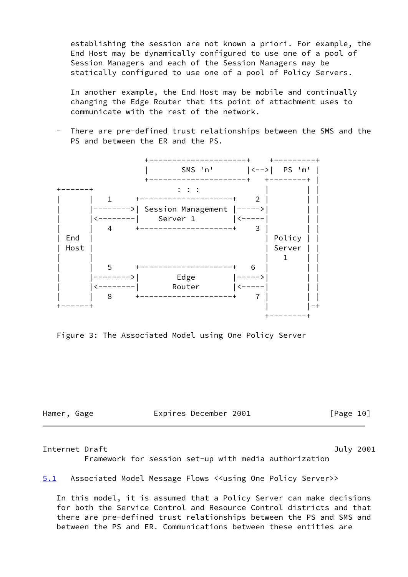establishing the session are not known a priori. For example, the End Host may be dynamically configured to use one of a pool of Session Managers and each of the Session Managers may be statically configured to use one of a pool of Policy Servers.

 In another example, the End Host may be mobile and continually changing the Edge Router that its point of attachment uses to communicate with the rest of the network.

 - There are pre-defined trust relationships between the SMS and the PS and between the ER and the PS.



Figure 3: The Associated Model using One Policy Server

Hamer, Gage **Expires December 2001** [Page 10]

Internet Draft **Internet Draft** And Internet Draft And Internet And Internet And Internet And Internet And Internet

Framework for session set-up with media authorization

<span id="page-11-0"></span>[5.1](#page-11-0) Associated Model Message Flows <<using One Policy Server>>

 In this model, it is assumed that a Policy Server can make decisions for both the Service Control and Resource Control districts and that there are pre-defined trust relationships between the PS and SMS and between the PS and ER. Communications between these entities are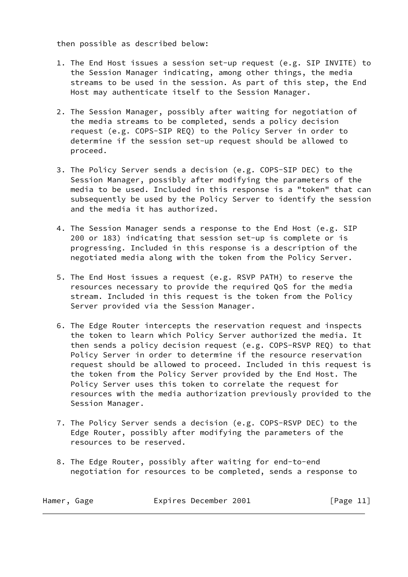then possible as described below:

- 1. The End Host issues a session set-up request (e.g. SIP INVITE) to the Session Manager indicating, among other things, the media streams to be used in the session. As part of this step, the End Host may authenticate itself to the Session Manager.
- 2. The Session Manager, possibly after waiting for negotiation of the media streams to be completed, sends a policy decision request (e.g. COPS-SIP REQ) to the Policy Server in order to determine if the session set-up request should be allowed to proceed.
- 3. The Policy Server sends a decision (e.g. COPS-SIP DEC) to the Session Manager, possibly after modifying the parameters of the media to be used. Included in this response is a "token" that can subsequently be used by the Policy Server to identify the session and the media it has authorized.
- 4. The Session Manager sends a response to the End Host (e.g. SIP 200 or 183) indicating that session set-up is complete or is progressing. Included in this response is a description of the negotiated media along with the token from the Policy Server.
- 5. The End Host issues a request (e.g. RSVP PATH) to reserve the resources necessary to provide the required QoS for the media stream. Included in this request is the token from the Policy Server provided via the Session Manager.
- 6. The Edge Router intercepts the reservation request and inspects the token to learn which Policy Server authorized the media. It then sends a policy decision request (e.g. COPS-RSVP REQ) to that Policy Server in order to determine if the resource reservation request should be allowed to proceed. Included in this request is the token from the Policy Server provided by the End Host. The Policy Server uses this token to correlate the request for resources with the media authorization previously provided to the Session Manager.
- 7. The Policy Server sends a decision (e.g. COPS-RSVP DEC) to the Edge Router, possibly after modifying the parameters of the resources to be reserved.
- 8. The Edge Router, possibly after waiting for end-to-end negotiation for resources to be completed, sends a response to

| Hamer, Gage |  | Expires December 2001 |  |  | [Page 11] |  |
|-------------|--|-----------------------|--|--|-----------|--|
|-------------|--|-----------------------|--|--|-----------|--|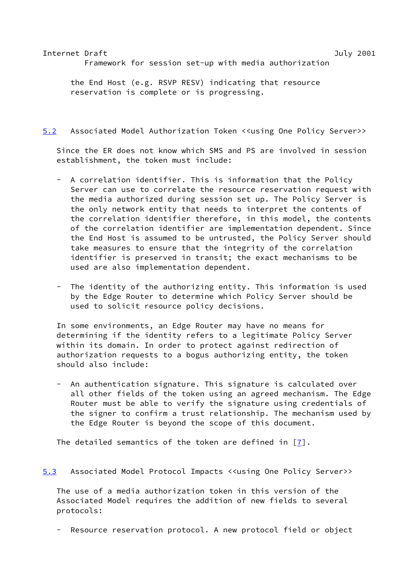# <span id="page-13-1"></span>Internet Draft July 2001 Framework for session set-up with media authorization

 the End Host (e.g. RSVP RESV) indicating that resource reservation is complete or is progressing.

# <span id="page-13-0"></span>[5.2](#page-13-0) Associated Model Authorization Token <<using One Policy Server>>

 Since the ER does not know which SMS and PS are involved in session establishment, the token must include:

- A correlation identifier. This is information that the Policy Server can use to correlate the resource reservation request with the media authorized during session set up. The Policy Server is the only network entity that needs to interpret the contents of the correlation identifier therefore, in this model, the contents of the correlation identifier are implementation dependent. Since the End Host is assumed to be untrusted, the Policy Server should take measures to ensure that the integrity of the correlation identifier is preserved in transit; the exact mechanisms to be used are also implementation dependent.
- The identity of the authorizing entity. This information is used by the Edge Router to determine which Policy Server should be used to solicit resource policy decisions.

 In some environments, an Edge Router may have no means for determining if the identity refers to a legitimate Policy Server within its domain. In order to protect against redirection of authorization requests to a bogus authorizing entity, the token should also include:

An authentication signature. This signature is calculated over all other fields of the token using an agreed mechanism. The Edge Router must be able to verify the signature using credentials of the signer to confirm a trust relationship. The mechanism used by the Edge Router is beyond the scope of this document.

The detailed semantics of the token are defined in  $\lceil 7 \rceil$ .

# <span id="page-13-2"></span>[5.3](#page-13-2) Associated Model Protocol Impacts <<using One Policy Server>>

 The use of a media authorization token in this version of the Associated Model requires the addition of new fields to several protocols:

Resource reservation protocol. A new protocol field or object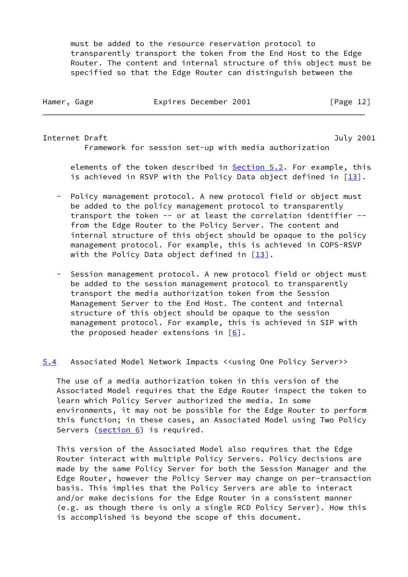must be added to the resource reservation protocol to transparently transport the token from the End Host to the Edge Router. The content and internal structure of this object must be specified so that the Edge Router can distinguish between the

| Hamer, Gage | Expires December 2001 |  |           |  |
|-------------|-----------------------|--|-----------|--|
|             |                       |  | [Page 12] |  |

<span id="page-14-1"></span>Internet Draft July 2001 Framework for session set-up with media authorization

 elements of the token described in [Section 5.2](#page-13-0). For example, this is achieved in RSVP with the Policy Data object defined in  $[13]$  $[13]$ .

- Policy management protocol. A new protocol field or object must be added to the policy management protocol to transparently transport the token -- or at least the correlation identifier - from the Edge Router to the Policy Server. The content and internal structure of this object should be opaque to the policy management protocol. For example, this is achieved in COPS-RSVP with the Policy Data object defined in  $[13]$  $[13]$ .
- Session management protocol. A new protocol field or object must be added to the session management protocol to transparently transport the media authorization token from the Session Management Server to the End Host. The content and internal structure of this object should be opaque to the session management protocol. For example, this is achieved in SIP with the proposed header extensions in  $\lceil 6 \rceil$ .

<span id="page-14-0"></span>[5.4](#page-14-0) Associated Model Network Impacts <<using One Policy Server>>

 The use of a media authorization token in this version of the Associated Model requires that the Edge Router inspect the token to learn which Policy Server authorized the media. In some environments, it may not be possible for the Edge Router to perform this function; in these cases, an Associated Model using Two Policy Servers (section 6) is required.

 This version of the Associated Model also requires that the Edge Router interact with multiple Policy Servers. Policy decisions are made by the same Policy Server for both the Session Manager and the Edge Router, however the Policy Server may change on per-transaction basis. This implies that the Policy Servers are able to interact and/or make decisions for the Edge Router in a consistent manner (e.g. as though there is only a single RCD Policy Server). How this is accomplished is beyond the scope of this document.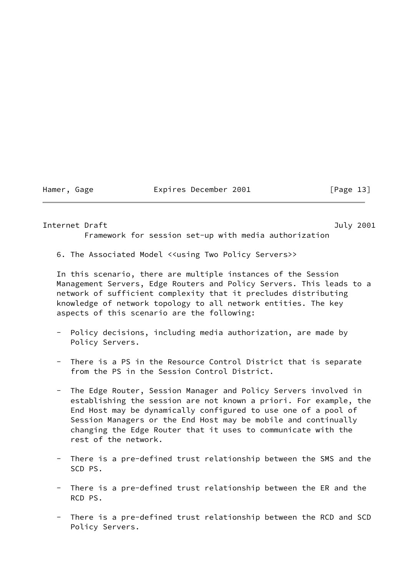### Hamer, Gage **Expires December 2001** [Page 13]

Framework for session set-up with media authorization

### <span id="page-15-0"></span>Internet Draft **Internet Draft** And The Contract of the United States of the United States and Tuly 2001

6. The Associated Model <<using Two Policy Servers>>

 In this scenario, there are multiple instances of the Session Management Servers, Edge Routers and Policy Servers. This leads to a network of sufficient complexity that it precludes distributing knowledge of network topology to all network entities. The key aspects of this scenario are the following:

- Policy decisions, including media authorization, are made by Policy Servers.
- There is a PS in the Resource Control District that is separate from the PS in the Session Control District.
- The Edge Router, Session Manager and Policy Servers involved in establishing the session are not known a priori. For example, the End Host may be dynamically configured to use one of a pool of Session Managers or the End Host may be mobile and continually changing the Edge Router that it uses to communicate with the rest of the network.
- There is a pre-defined trust relationship between the SMS and the SCD PS.
- There is a pre-defined trust relationship between the ER and the RCD PS.
- There is a pre-defined trust relationship between the RCD and SCD Policy Servers.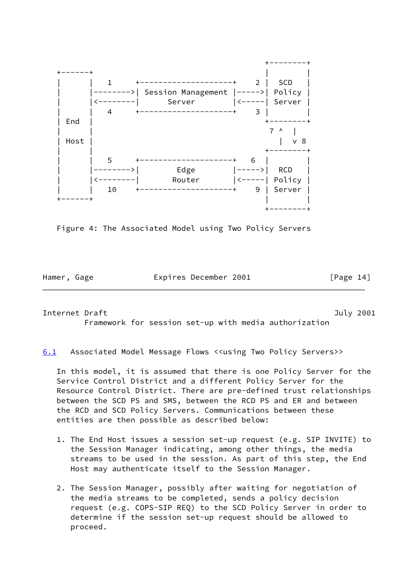

Figure 4: The Associated Model using Two Policy Servers

Hamer, Gage **Expires December 2001** [Page 14]

<span id="page-16-1"></span>Internet Draft July 2001 Framework for session set-up with media authorization

<span id="page-16-0"></span>[6.1](#page-16-0) Associated Model Message Flows <<using Two Policy Servers>>

 In this model, it is assumed that there is one Policy Server for the Service Control District and a different Policy Server for the Resource Control District. There are pre-defined trust relationships between the SCD PS and SMS, between the RCD PS and ER and between the RCD and SCD Policy Servers. Communications between these entities are then possible as described below:

- 1. The End Host issues a session set-up request (e.g. SIP INVITE) to the Session Manager indicating, among other things, the media streams to be used in the session. As part of this step, the End Host may authenticate itself to the Session Manager.
- 2. The Session Manager, possibly after waiting for negotiation of the media streams to be completed, sends a policy decision request (e.g. COPS-SIP REQ) to the SCD Policy Server in order to determine if the session set-up request should be allowed to proceed.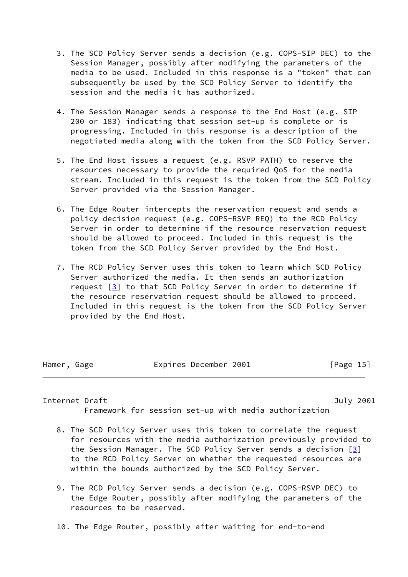- 3. The SCD Policy Server sends a decision (e.g. COPS-SIP DEC) to the Session Manager, possibly after modifying the parameters of the media to be used. Included in this response is a "token" that can subsequently be used by the SCD Policy Server to identify the session and the media it has authorized.
- 4. The Session Manager sends a response to the End Host (e.g. SIP 200 or 183) indicating that session set-up is complete or is progressing. Included in this response is a description of the negotiated media along with the token from the SCD Policy Server.
- 5. The End Host issues a request (e.g. RSVP PATH) to reserve the resources necessary to provide the required QoS for the media stream. Included in this request is the token from the SCD Policy Server provided via the Session Manager.
- 6. The Edge Router intercepts the reservation request and sends a policy decision request (e.g. COPS-RSVP REQ) to the RCD Policy Server in order to determine if the resource reservation request should be allowed to proceed. Included in this request is the token from the SCD Policy Server provided by the End Host.
- 7. The RCD Policy Server uses this token to learn which SCD Policy Server authorized the media. It then sends an authorization request  $\boxed{3}$  to that SCD Policy Server in order to determine if the resource reservation request should be allowed to proceed. Included in this request is the token from the SCD Policy Server provided by the End Host.

| Hamer, Gage |  | Expires December 2001 |  |  | [Page 15] |  |
|-------------|--|-----------------------|--|--|-----------|--|
|-------------|--|-----------------------|--|--|-----------|--|

<span id="page-17-0"></span>Internet Draft July 2001 Framework for session set-up with media authorization

- 8. The SCD Policy Server uses this token to correlate the request for resources with the media authorization previously provided to the Session Manager. The SCD Policy Server sends a decision [\[3](#page-25-8)] to the RCD Policy Server on whether the requested resources are within the bounds authorized by the SCD Policy Server.
- 9. The RCD Policy Server sends a decision (e.g. COPS-RSVP DEC) to the Edge Router, possibly after modifying the parameters of the resources to be reserved.
- 10. The Edge Router, possibly after waiting for end-to-end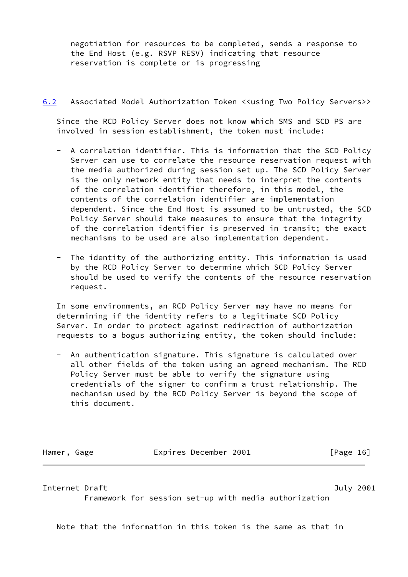negotiation for resources to be completed, sends a response to the End Host (e.g. RSVP RESV) indicating that resource reservation is complete or is progressing

# <span id="page-18-0"></span>[6.2](#page-18-0) Associated Model Authorization Token <<using Two Policy Servers>>

 Since the RCD Policy Server does not know which SMS and SCD PS are involved in session establishment, the token must include:

- A correlation identifier. This is information that the SCD Policy Server can use to correlate the resource reservation request with the media authorized during session set up. The SCD Policy Server is the only network entity that needs to interpret the contents of the correlation identifier therefore, in this model, the contents of the correlation identifier are implementation dependent. Since the End Host is assumed to be untrusted, the SCD Policy Server should take measures to ensure that the integrity of the correlation identifier is preserved in transit; the exact mechanisms to be used are also implementation dependent.
- The identity of the authorizing entity. This information is used by the RCD Policy Server to determine which SCD Policy Server should be used to verify the contents of the resource reservation request.

 In some environments, an RCD Policy Server may have no means for determining if the identity refers to a legitimate SCD Policy Server. In order to protect against redirection of authorization requests to a bogus authorizing entity, the token should include:

 - An authentication signature. This signature is calculated over all other fields of the token using an agreed mechanism. The RCD Policy Server must be able to verify the signature using credentials of the signer to confirm a trust relationship. The mechanism used by the RCD Policy Server is beyond the scope of this document.

Hamer, Gage **Expires December 2001** [Page 16]

# <span id="page-18-1"></span>Internet Draft July 2001

Framework for session set-up with media authorization

Note that the information in this token is the same as that in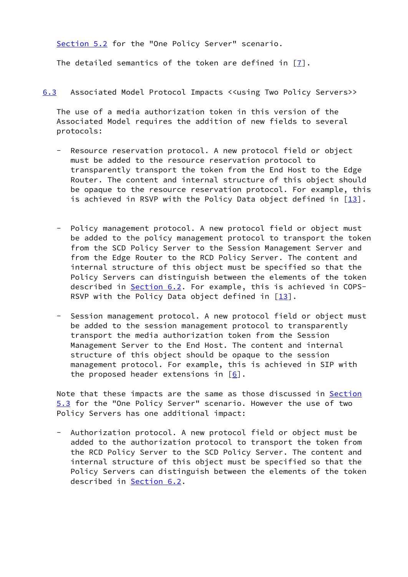[Section 5.2](#page-13-0) for the "One Policy Server" scenario.

The detailed semantics of the token are defined in [[7\]](#page-25-6).

<span id="page-19-0"></span>[6.3](#page-19-0) Associated Model Protocol Impacts <<using Two Policy Servers>>

 The use of a media authorization token in this version of the Associated Model requires the addition of new fields to several protocols:

- Resource reservation protocol. A new protocol field or object must be added to the resource reservation protocol to transparently transport the token from the End Host to the Edge Router. The content and internal structure of this object should be opaque to the resource reservation protocol. For example, this is achieved in RSVP with the Policy Data object defined in  $[13]$  $[13]$ .
- Policy management protocol. A new protocol field or object must be added to the policy management protocol to transport the token from the SCD Policy Server to the Session Management Server and from the Edge Router to the RCD Policy Server. The content and internal structure of this object must be specified so that the Policy Servers can distinguish between the elements of the token described in [Section 6.2](#page-18-0). For example, this is achieved in COPS-RSVP with the Policy Data object defined in  $[13]$  $[13]$ .
- Session management protocol. A new protocol field or object must be added to the session management protocol to transparently transport the media authorization token from the Session Management Server to the End Host. The content and internal structure of this object should be opaque to the session management protocol. For example, this is achieved in SIP with the proposed header extensions in  $[6]$ .

Note that these impacts are the same as those discussed in [Section](#page-13-2) [5.3](#page-13-2) for the "One Policy Server" scenario. However the use of two Policy Servers has one additional impact:

 - Authorization protocol. A new protocol field or object must be added to the authorization protocol to transport the token from the RCD Policy Server to the SCD Policy Server. The content and internal structure of this object must be specified so that the Policy Servers can distinguish between the elements of the token described in **Section 6.2.**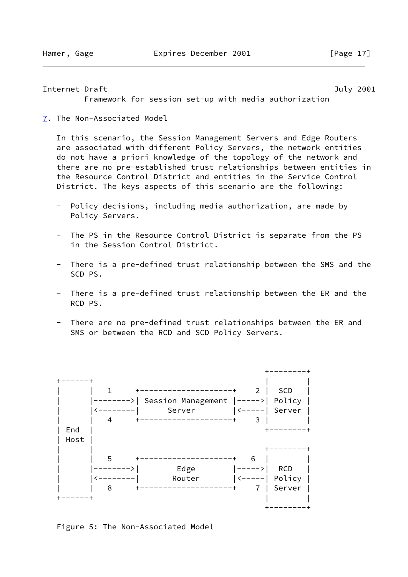<span id="page-20-1"></span>Internet Draft **Internet Draft** And The Contract of the United States of the United States and Tuly 2001

Framework for session set-up with media authorization

<span id="page-20-0"></span>[7](#page-20-0). The Non-Associated Model

 In this scenario, the Session Management Servers and Edge Routers are associated with different Policy Servers, the network entities do not have a priori knowledge of the topology of the network and there are no pre-established trust relationships between entities in the Resource Control District and entities in the Service Control District. The keys aspects of this scenario are the following:

- Policy decisions, including media authorization, are made by Policy Servers.
- The PS in the Resource Control District is separate from the PS in the Session Control District.
- There is a pre-defined trust relationship between the SMS and the SCD PS.
- There is a pre-defined trust relationship between the ER and the RCD PS.
- There are no pre-defined trust relationships between the ER and SMS or between the RCD and SCD Policy Servers.



Figure 5: The Non-Associated Model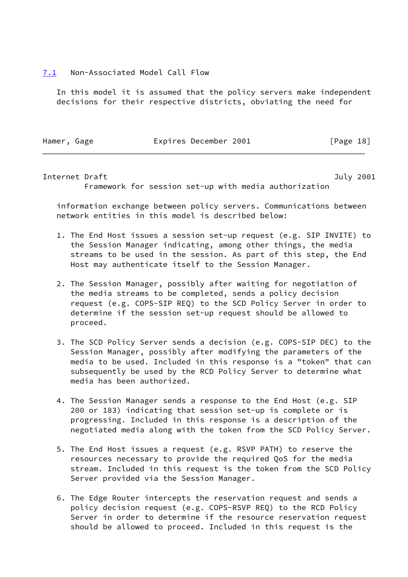### <span id="page-21-0"></span>[7.1](#page-21-0) Non-Associated Model Call Flow

 In this model it is assumed that the policy servers make independent decisions for their respective districts, obviating the need for

Hamer, Gage **Expires December 2001** [Page 18]

Internet Draft **Internet Draft** Australian Communication and Tuly 2001

Framework for session set-up with media authorization

 information exchange between policy servers. Communications between network entities in this model is described below:

- 1. The End Host issues a session set-up request (e.g. SIP INVITE) to the Session Manager indicating, among other things, the media streams to be used in the session. As part of this step, the End Host may authenticate itself to the Session Manager.
- 2. The Session Manager, possibly after waiting for negotiation of the media streams to be completed, sends a policy decision request (e.g. COPS-SIP REQ) to the SCD Policy Server in order to determine if the session set-up request should be allowed to proceed.
- 3. The SCD Policy Server sends a decision (e.g. COPS-SIP DEC) to the Session Manager, possibly after modifying the parameters of the media to be used. Included in this response is a "token" that can subsequently be used by the RCD Policy Server to determine what media has been authorized.
- 4. The Session Manager sends a response to the End Host (e.g. SIP 200 or 183) indicating that session set-up is complete or is progressing. Included in this response is a description of the negotiated media along with the token from the SCD Policy Server.
- 5. The End Host issues a request (e.g. RSVP PATH) to reserve the resources necessary to provide the required QoS for the media stream. Included in this request is the token from the SCD Policy Server provided via the Session Manager.
- 6. The Edge Router intercepts the reservation request and sends a policy decision request (e.g. COPS-RSVP REQ) to the RCD Policy Server in order to determine if the resource reservation request should be allowed to proceed. Included in this request is the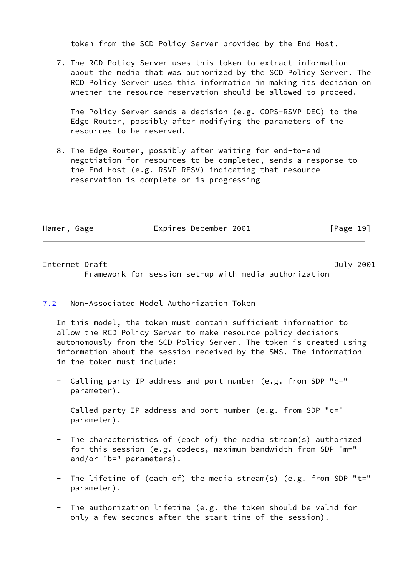token from the SCD Policy Server provided by the End Host.

 7. The RCD Policy Server uses this token to extract information about the media that was authorized by the SCD Policy Server. The RCD Policy Server uses this information in making its decision on whether the resource reservation should be allowed to proceed.

 The Policy Server sends a decision (e.g. COPS-RSVP DEC) to the Edge Router, possibly after modifying the parameters of the resources to be reserved.

 8. The Edge Router, possibly after waiting for end-to-end negotiation for resources to be completed, sends a response to the End Host (e.g. RSVP RESV) indicating that resource reservation is complete or is progressing

| Hamer, Gage |  | Expires December 2001 | [Page 19] |  |
|-------------|--|-----------------------|-----------|--|
|             |  |                       |           |  |

<span id="page-22-1"></span>Internet Draft **Internet Draft** Australian Communication and Tuly 2001 Framework for session set-up with media authorization

# <span id="page-22-0"></span>[7.2](#page-22-0) Non-Associated Model Authorization Token

 In this model, the token must contain sufficient information to allow the RCD Policy Server to make resource policy decisions autonomously from the SCD Policy Server. The token is created using information about the session received by the SMS. The information in the token must include:

- Calling party IP address and port number (e.g. from SDP "c=" parameter).
- Called party IP address and port number (e.g. from SDP "c=" parameter).
- The characteristics of (each of) the media stream(s) authorized for this session (e.g. codecs, maximum bandwidth from SDP "m=" and/or "b=" parameters).
- The lifetime of (each of) the media stream(s) (e.g. from SDP "t=" parameter).
- The authorization lifetime (e.g. the token should be valid for only a few seconds after the start time of the session).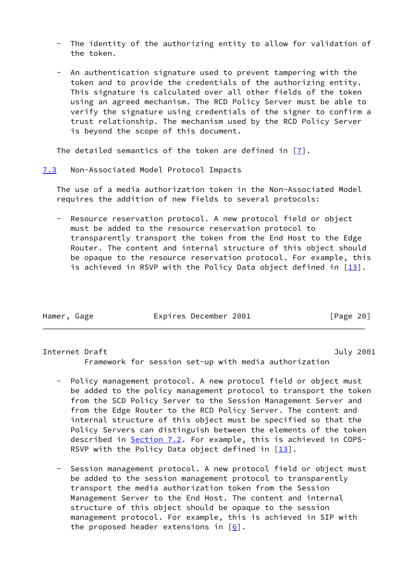- The identity of the authorizing entity to allow for validation of the token.
- An authentication signature used to prevent tampering with the token and to provide the credentials of the authorizing entity. This signature is calculated over all other fields of the token using an agreed mechanism. The RCD Policy Server must be able to verify the signature using credentials of the signer to confirm a trust relationship. The mechanism used by the RCD Policy Server is beyond the scope of this document.

The detailed semantics of the token are defined in  $[7]$  $[7]$ .

# <span id="page-23-0"></span>[7.3](#page-23-0) Non-Associated Model Protocol Impacts

 The use of a media authorization token in the Non-Associated Model requires the addition of new fields to several protocols:

Resource reservation protocol. A new protocol field or object must be added to the resource reservation protocol to transparently transport the token from the End Host to the Edge Router. The content and internal structure of this object should be opaque to the resource reservation protocol. For example, this is achieved in RSVP with the Policy Data object defined in  $[13]$  $[13]$ .

| Hamer, Gage | Expires December 2001 | [Page 20] |  |
|-------------|-----------------------|-----------|--|
|             |                       |           |  |

### <span id="page-23-1"></span>Internet Draft July 2001

Framework for session set-up with media authorization

- Policy management protocol. A new protocol field or object must be added to the policy management protocol to transport the token from the SCD Policy Server to the Session Management Server and from the Edge Router to the RCD Policy Server. The content and internal structure of this object must be specified so that the Policy Servers can distinguish between the elements of the token described in [Section 7.2](#page-22-0). For example, this is achieved in COPS-RSVP with the Policy Data object defined in  $[13]$  $[13]$ .
- Session management protocol. A new protocol field or object must be added to the session management protocol to transparently transport the media authorization token from the Session Management Server to the End Host. The content and internal structure of this object should be opaque to the session management protocol. For example, this is achieved in SIP with the proposed header extensions in  $[6]$ .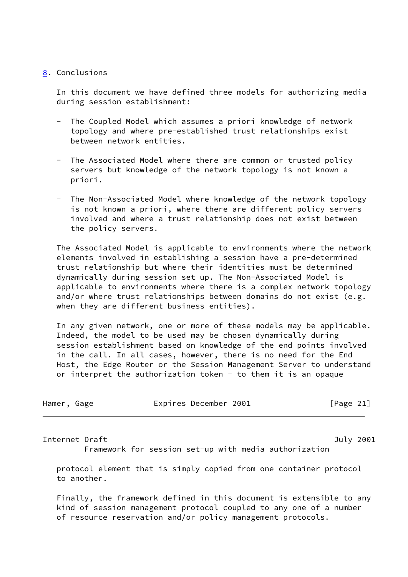# <span id="page-24-0"></span>[8](#page-24-0). Conclusions

 In this document we have defined three models for authorizing media during session establishment:

- The Coupled Model which assumes a priori knowledge of network topology and where pre-established trust relationships exist between network entities.
- The Associated Model where there are common or trusted policy servers but knowledge of the network topology is not known a priori.
- The Non-Associated Model where knowledge of the network topology is not known a priori, where there are different policy servers involved and where a trust relationship does not exist between the policy servers.

 The Associated Model is applicable to environments where the network elements involved in establishing a session have a pre-determined trust relationship but where their identities must be determined dynamically during session set up. The Non-Associated Model is applicable to environments where there is a complex network topology and/or where trust relationships between domains do not exist (e.g. when they are different business entities).

 In any given network, one or more of these models may be applicable. Indeed, the model to be used may be chosen dynamically during session establishment based on knowledge of the end points involved in the call. In all cases, however, there is no need for the End Host, the Edge Router or the Session Management Server to understand or interpret the authorization token - to them it is an opaque

| Hamer, Gage |  | Expires December 2001 |  | [Page 21] |  |
|-------------|--|-----------------------|--|-----------|--|
|-------------|--|-----------------------|--|-----------|--|

<span id="page-24-1"></span>Internet Draft **Internet Draft** And The Contract of the United States of the United States and Tuly 2001

Framework for session set-up with media authorization

 protocol element that is simply copied from one container protocol to another.

 Finally, the framework defined in this document is extensible to any kind of session management protocol coupled to any one of a number of resource reservation and/or policy management protocols.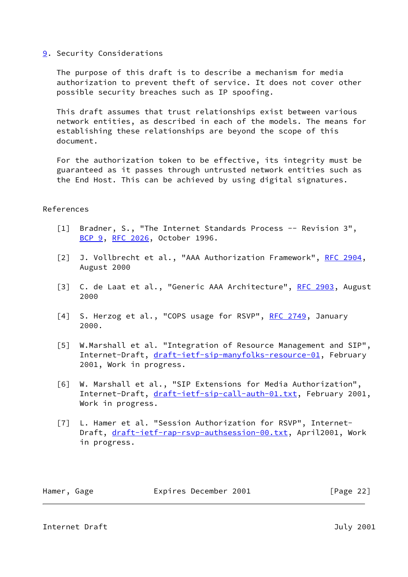# <span id="page-25-1"></span>[9](#page-25-1). Security Considerations

 The purpose of this draft is to describe a mechanism for media authorization to prevent theft of service. It does not cover other possible security breaches such as IP spoofing.

 This draft assumes that trust relationships exist between various network entities, as described in each of the models. The means for establishing these relationships are beyond the scope of this document.

 For the authorization token to be effective, its integrity must be guaranteed as it passes through untrusted network entities such as the End Host. This can be achieved by using digital signatures.

# References

- <span id="page-25-0"></span> [1] Bradner, S., "The Internet Standards Process -- Revision 3", [BCP 9](https://datatracker.ietf.org/doc/pdf/bcp9), [RFC 2026,](https://datatracker.ietf.org/doc/pdf/rfc2026) October 1996.
- <span id="page-25-4"></span>[2] J. Vollbrecht et al., "AAA Authorization Framework", [RFC 2904](https://datatracker.ietf.org/doc/pdf/rfc2904), August 2000
- <span id="page-25-8"></span>[3] C. de Laat et al., "Generic AAA Architecture", [RFC 2903,](https://datatracker.ietf.org/doc/pdf/rfc2903) August 2000
- <span id="page-25-7"></span>[4] S. Herzog et al., "COPS usage for RSVP", [RFC 2749](https://datatracker.ietf.org/doc/pdf/rfc2749), January 2000.
- <span id="page-25-3"></span>[5] W.Marshall et al. "Integration of Resource Management and SIP", Internet-Draft, [draft-ietf-sip-manyfolks-resource-01](https://datatracker.ietf.org/doc/pdf/draft-ietf-sip-manyfolks-resource-01), February 2001, Work in progress.
- <span id="page-25-5"></span> [6] W. Marshall et al., "SIP Extensions for Media Authorization", Internet-Draft, [draft-ietf-sip-call-auth-01.txt](https://datatracker.ietf.org/doc/pdf/draft-ietf-sip-call-auth-01.txt), February 2001, Work in progress.
- <span id="page-25-6"></span> [7] L. Hamer et al. "Session Authorization for RSVP", Internet Draft, [draft-ietf-rap-rsvp-authsession-00.txt](https://datatracker.ietf.org/doc/pdf/draft-ietf-rap-rsvp-authsession-00.txt), April2001, Work in progress.

Hamer, Gage **Expires December 2001** [Page 22]

<span id="page-25-2"></span>Internet Draft **Internet Draft** And The Contract of the United States of the United States and Tuly 2001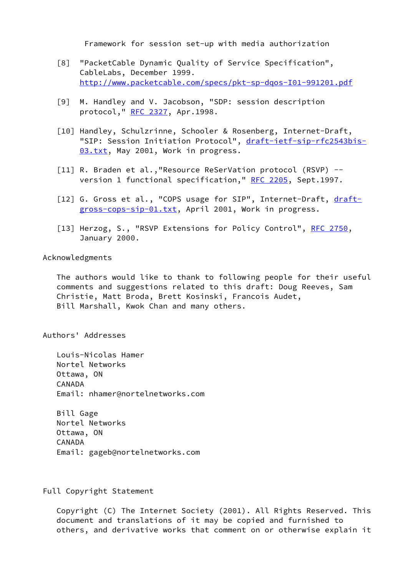Framework for session set-up with media authorization

- <span id="page-26-2"></span> [8] "PacketCable Dynamic Quality of Service Specification", CableLabs, December 1999. <http://www.packetcable.com/specs/pkt-sp-dqos-I01-991201.pdf>
- [9] M. Handley and V. Jacobson, "SDP: session description protocol," [RFC 2327](https://datatracker.ietf.org/doc/pdf/rfc2327), Apr.1998.
- <span id="page-26-0"></span>[10] Handley, Schulzrinne, Schooler & Rosenberg, Internet-Draft, "SIP: Session Initiation Protocol", [draft-ietf-sip-rfc2543bis-](https://datatracker.ietf.org/doc/pdf/draft-ietf-sip-rfc2543bis-03.txt) [03.txt](https://datatracker.ietf.org/doc/pdf/draft-ietf-sip-rfc2543bis-03.txt), May 2001, Work in progress.
- <span id="page-26-1"></span>[11] R. Braden et al., "Resource ReSerVation protocol (RSVP) --version 1 functional specification," [RFC 2205](https://datatracker.ietf.org/doc/pdf/rfc2205), Sept.1997.
- <span id="page-26-3"></span>[12] G. Gross et al., "COPS usage for SIP", Internet-Draft, [draft](https://datatracker.ietf.org/doc/pdf/draft-gross-cops-sip-01.txt) [gross-cops-sip-01.txt](https://datatracker.ietf.org/doc/pdf/draft-gross-cops-sip-01.txt), April 2001, Work in progress.
- <span id="page-26-4"></span>[13] Herzog, S., "RSVP Extensions for Policy Control", [RFC 2750,](https://datatracker.ietf.org/doc/pdf/rfc2750) January 2000.

Acknowledgments

 The authors would like to thank to following people for their useful comments and suggestions related to this draft: Doug Reeves, Sam Christie, Matt Broda, Brett Kosinski, Francois Audet, Bill Marshall, Kwok Chan and many others.

Authors' Addresses

 Louis-Nicolas Hamer Nortel Networks Ottawa, ON CANADA Email: nhamer@nortelnetworks.com

 Bill Gage Nortel Networks Ottawa, ON CANADA Email: gageb@nortelnetworks.com

Full Copyright Statement

 Copyright (C) The Internet Society (2001). All Rights Reserved. This document and translations of it may be copied and furnished to others, and derivative works that comment on or otherwise explain it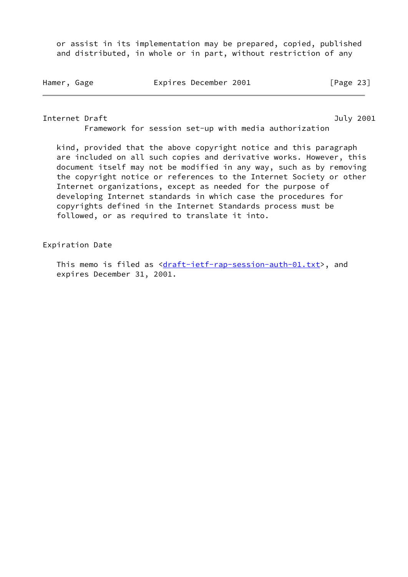or assist in its implementation may be prepared, copied, published and distributed, in whole or in part, without restriction of any

Hamer, Gage **Expires December 2001** [Page 23]

<span id="page-27-0"></span>Internet Draft **Internet Draft** July 2001

Framework for session set-up with media authorization

 kind, provided that the above copyright notice and this paragraph are included on all such copies and derivative works. However, this document itself may not be modified in any way, such as by removing the copyright notice or references to the Internet Society or other Internet organizations, except as needed for the purpose of developing Internet standards in which case the procedures for copyrights defined in the Internet Standards process must be followed, or as required to translate it into.

Expiration Date

This memo is filed as <[draft-ietf-rap-session-auth-01.txt>](https://datatracker.ietf.org/doc/pdf/draft-ietf-rap-session-auth-01.txt), and expires December 31, 2001.